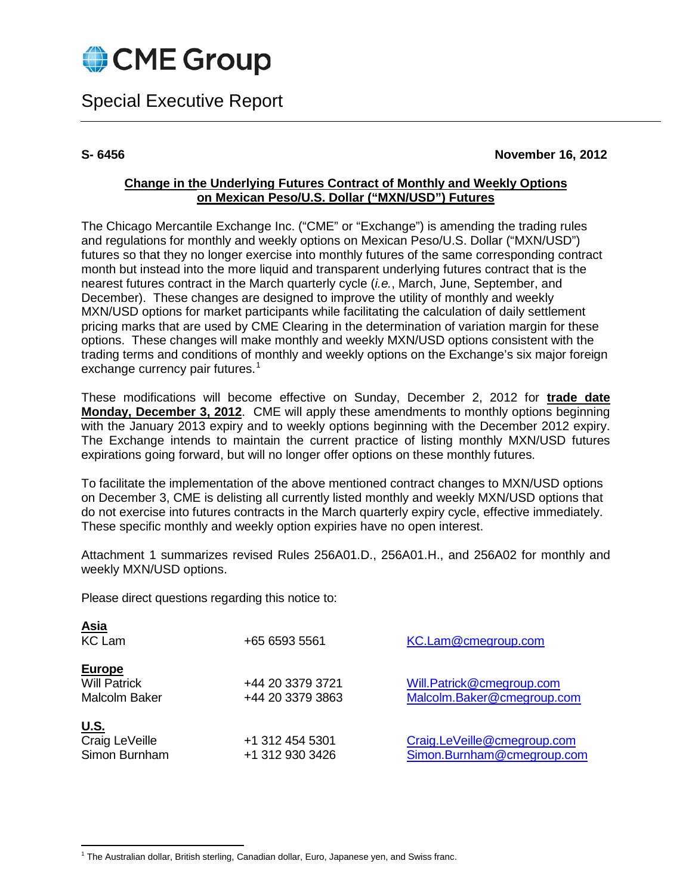

Special Executive Report

# **S- 6456 November 16, 2012**

# **Change in the Underlying Futures Contract of Monthly and Weekly Options on Mexican Peso/U.S. Dollar ("MXN/USD") Futures**

The Chicago Mercantile Exchange Inc. ("CME" or "Exchange") is amending the trading rules and regulations for monthly and weekly options on Mexican Peso/U.S. Dollar ("MXN/USD") futures so that they no longer exercise into monthly futures of the same corresponding contract month but instead into the more liquid and transparent underlying futures contract that is the nearest futures contract in the March quarterly cycle (*i.e.*, March, June, September, and December). These changes are designed to improve the utility of monthly and weekly MXN/USD options for market participants while facilitating the calculation of daily settlement pricing marks that are used by CME Clearing in the determination of variation margin for these options. These changes will make monthly and weekly MXN/USD options consistent with the trading terms and conditions of monthly and weekly options on the Exchange's six major foreign exchange currency pair futures.<sup>[1](#page-0-0)</sup>

These modifications will become effective on Sunday, December 2, 2012 for **trade date Monday, December 3, 2012**. CME will apply these amendments to monthly options beginning with the January 2013 expiry and to weekly options beginning with the December 2012 expiry. The Exchange intends to maintain the current practice of listing monthly MXN/USD futures expirations going forward, but will no longer offer options on these monthly futures.

To facilitate the implementation of the above mentioned contract changes to MXN/USD options on December 3, CME is delisting all currently listed monthly and weekly MXN/USD options that do not exercise into futures contracts in the March quarterly expiry cycle, effective immediately. These specific monthly and weekly option expiries have no open interest.

Attachment 1 summarizes revised Rules 256A01.D., 256A01.H., and 256A02 for monthly and weekly MXN/USD options.

Please direct questions regarding this notice to:

| <u>Asia</u><br><b>KC Lam</b>                                 | +65 6593 5561                        | KC.Lam@cmegroup.com                                       |
|--------------------------------------------------------------|--------------------------------------|-----------------------------------------------------------|
| <b>Europe</b><br><b>Will Patrick</b><br><b>Malcolm Baker</b> | +44 20 3379 3721<br>+44 20 3379 3863 | Will.Patrick@cmegroup.com<br>Malcolm.Baker@cmegroup.com   |
| <u>U.S.</u><br>Craig LeVeille<br>Simon Burnham               | +1 312 454 5301<br>+1 312 930 3426   | Craig.LeVeille@cmegroup.com<br>Simon.Burnham@cmegroup.com |

<span id="page-0-0"></span> $1$  The Australian dollar, British sterling, Canadian dollar, Euro, Japanese yen, and Swiss franc.